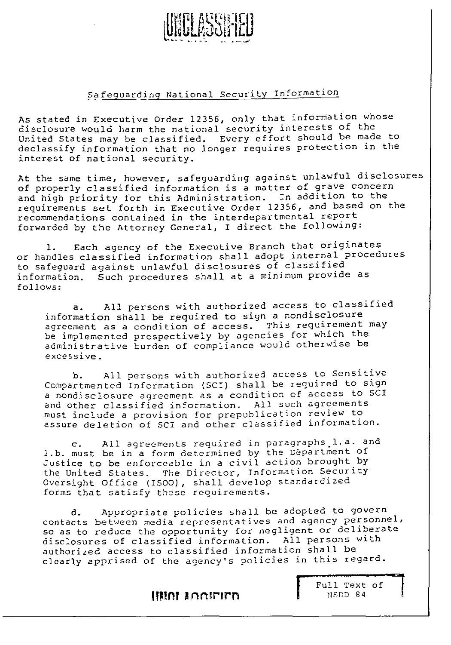

## Safeguarding National Security Information

As stated in Executive Order 12356, only that information whose disclosure would harm the national security interests of the United States may be classified. Every effort should be made to declassify information that no longer requires protection in the interest of national security.

At the same time, however, safeguarding against unlawful disclosures of properly classified information is a matter of grave concern and high priority for this Administration. In addition to the requirements set forth in Executive Order 12356, and based on the recommendations contained in the interdepartmental report forwarded by the Attorney General, I direct the following:

1. Each agency of the Executive Branch that originates or handles classified information shall adopt internal procedures to safeguard against unlawful disclosures of classified information. Such procedures shall at a minimum provide as follows:

a. All persons with authorized access to classified information shall be required to sign a nondisclosure agreement as a condition of access. This requirement may be implemented prospectively by agencies for which the administrative burden of compliance would otherwise be excessive.

b. All persons with authorized access to Sensitive Compartmented Information (SCI) shall be required to sign a nondisclosure agreement as a condition of access to SCI and other classified information. All such agreements<br>must include a provision for prepublication review to assure deletion of SCI and other classified information.

c. All agreements required in paragraphs.l.a. and l.b. must be in a form determined by the Department of Justice to be enforceable in a civil action brought by the United States. The Director, Information Security Oversight Office (ISOO), shall develop standardized forms that satisfy these requirements.

d. Appropriate policies shall be adopted to govern contacts between media representatives and agency personnel, so as to reduce the opportunity for negligent or deliberate disclosures of classified information. All persons with authorized access to classified information shall be clearly apprised of the agency's policies in this regard.<br> **Full Text of Full Text of Full Text of**  $\text{NSDD 84}$ 

NSDD 84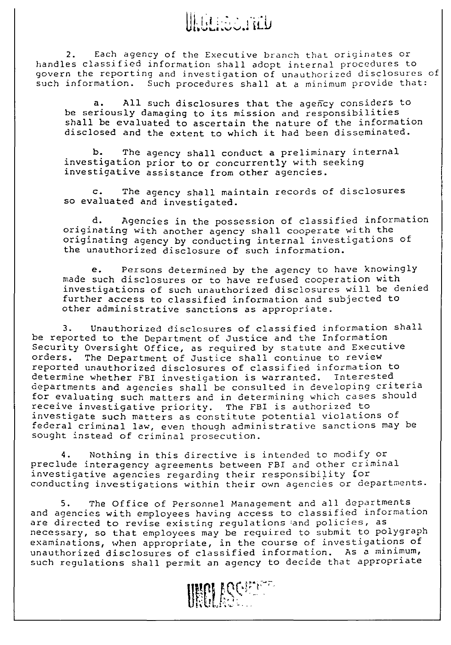2. Each agency of the Executive branch that originates or handles classified information shall adopt internal procedures to govern the reporting and investigation of unauthorized disclosures of such information. Such procedures shall at a minimum provide that:

a. All such disclosures that the agency considers to be seriously damaging to its mission and responsibilities shall be evaluated to ascertain the nature of the information disclosed and the extent to which it had been disseminated.

b. The agency shall conduct a preliminary internal investigation prior to or concurrently with seeking investigative assistance from other agencies.

c. The agency shall maintain records of disclosures so evaluated and investigated.

d. Agencies in the possession of classified information originating with another agency shall cooperate with the originating agency by conducting internal investigations of the unauthorized disclosure of such information.

e. Persons determined by the agency to have knowingly made such disclosures or to have refused cooperation with investigations of such unauthorized disclosures will be denied further access to classified information and subjected to other administrative sanctions as appropriate.

3. Unauthorized disclosures of classified information shall be reported to the Department of Justice and the Information Security Oversight Office, as required by statute and Executive orders. The Department of Justice shall continue to review reported unauthorized disclosures of classified information to determine whether FBI investigation is warranted. Interested departments and agencies shall be consulted in developing criteria for evaluating such matters and in determining which cases should receive investigative priority. The FBI is authorized to investigate such matters as constitute potential violations of federal criminal law, even though administrative sanctions may be sought instead of criminal prosecution.

4. Nothing in this directive is intended to modify or preclude interagency agreements between FBI and other criminal investigative agencies regarding their responsibility for conducting investigations within their own agencies or departments.

5. The Office of Personnel Management and all departments and agencies with employees having access to classified information<br>are directed to revise existing regulations and policies, as necessary, so that employees may be required to submit to polygraph examinations, when appropriate, in the course of investigations of unauthorized disclosures of classified information. As a minimum, such regulations shall permit an agency to decide that appropriate